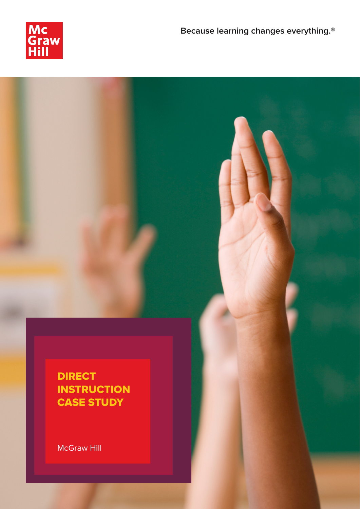

# DIRECT **INSTRUCTION** CASE STUDY

McGraw Hill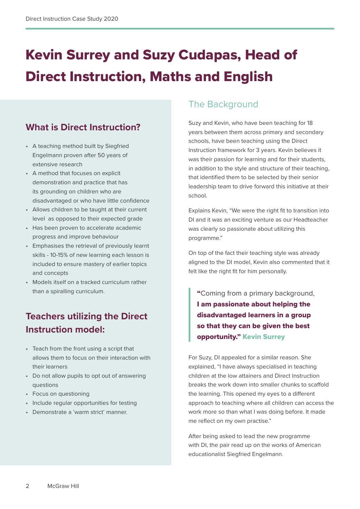# Kevin Surrey and Suzy Cudapas, Head of Direct Instruction, Maths and English

# **What is Direct Instruction?**

- A teaching method built by Siegfried Engelmann proven after 50 years of extensive research
- A method that focuses on explicit demonstration and practice that has its grounding on children who are disadvantaged or who have little confidence
- Allows children to be taught at their current level as opposed to their expected grade
- Has been proven to accelerate academic progress and improve behaviour
- Emphasises the retrieval of previously learnt skills - 10-15% of new learning each lesson is included to ensure mastery of earlier topics and concepts
- Models itself on a tracked curriculum rather than a spiralling curriculum.

# **Teachers utilizing the Direct Instruction model:**

- Teach from the front using a script that allows them to focus on their interaction with their learners
- Do not allow pupils to opt out of answering questions
- Focus on questioning
- Include regular opportunities for testing
- Demonstrate a 'warm strict' manner.

## The Background

Suzy and Kevin, who have been teaching for 18 years between them across primary and secondary schools, have been teaching using the Direct Instruction framework for 3 years. Kevin believes it was their passion for learning and for their students, in addition to the style and structure of their teaching, that identified them to be selected by their senior leadership team to drive forward this initiative at their school.

Explains Kevin, "We were the right fit to transition into DI and it was an exciting venture as our Headteacher was clearly so passionate about utilizing this programme."

On top of the fact their teaching style was already aligned to the DI model, Kevin also commented that it felt like the right fit for him personally.

"Coming from a primary background, I am passionate about helping the disadvantaged learners in a group so that they can be given the best opportunity." Kevin Surrey

For Suzy, DI appealed for a similar reason. She explained, "I have always specialised in teaching children at the low attainers and Direct Instruction breaks the work down into smaller chunks to scaffold the learning. This opened my eyes to a different approach to teaching where all children can access the work more so than what I was doing before. It made me reflect on my own practise."

After being asked to lead the new programme with DI, the pair read up on the works of American educationalist Siegfried Engelmann.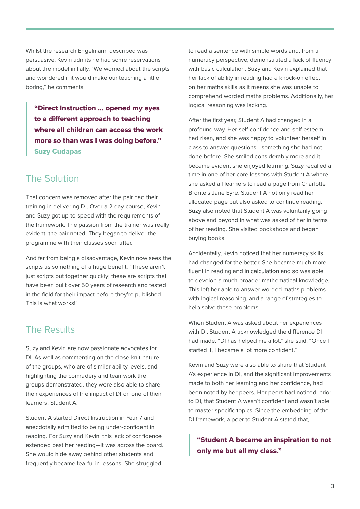Whilst the research Engelmann described was persuasive, Kevin admits he had some reservations about the model initially. "We worried about the scripts and wondered if it would make our teaching a little boring," he comments.

"Direct Instruction ... opened my eyes to a different approach to teaching where all children can access the work more so than was I was doing before." Suzy Cudapas

### The Solution

That concern was removed after the pair had their training in delivering DI. Over a 2-day course, Kevin and Suzy got up-to-speed with the requirements of the framework. The passion from the trainer was really evident, the pair noted. They began to deliver the programme with their classes soon after.

And far from being a disadvantage, Kevin now sees the scripts as something of a huge benefit. "These aren't just scripts put together quickly; these are scripts that have been built over 50 years of research and tested in the field for their impact before they're published. This is what works!"

## The Results

Suzy and Kevin are now passionate advocates for DI. As well as commenting on the close-knit nature of the groups, who are of similar ability levels, and highlighting the comradery and teamwork the groups demonstrated, they were also able to share their experiences of the impact of DI on one of their learners, Student A.

Student A started Direct Instruction in Year 7 and anecdotally admitted to being under-confident in reading. For Suzy and Kevin, this lack of confidence extended past her reading—it was across the board. She would hide away behind other students and frequently became tearful in lessons. She struggled

to read a sentence with simple words and, from a numeracy perspective, demonstrated a lack of fluency with basic calculation. Suzy and Kevin explained that her lack of ability in reading had a knock-on effect on her maths skills as it means she was unable to comprehend worded maths problems. Additionally, her logical reasoning was lacking.

After the first year, Student A had changed in a profound way. Her self-confidence and self-esteem had risen, and she was happy to volunteer herself in class to answer questions—something she had not done before. She smiled considerably more and it became evident she enjoyed learning. Suzy recalled a time in one of her core lessons with Student A where she asked all learners to read a page from Charlotte Bronte's Jane Eyre. Student A not only read her allocated page but also asked to continue reading. Suzy also noted that Student A was voluntarily going above and beyond in what was asked of her in terms of her reading. She visited bookshops and began buying books.

Accidentally, Kevin noticed that her numeracy skills had changed for the better. She became much more fluent in reading and in calculation and so was able to develop a much broader mathematical knowledge. This left her able to answer worded maths problems with logical reasoning, and a range of strategies to help solve these problems.

When Student A was asked about her experiences with DI, Student A acknowledged the difference DI had made. "DI has helped me a lot," she said, "Once I started it, I became a lot more confident."

Kevin and Suzy were also able to share that Student A's experience in DI, and the significant improvements made to both her learning and her confidence, had been noted by her peers. Her peers had noticed, prior to DI, that Student A wasn't confident and wasn't able to master specific topics. Since the embedding of the DI framework, a peer to Student A stated that,

"Student A became an inspiration to not only me but all my class."